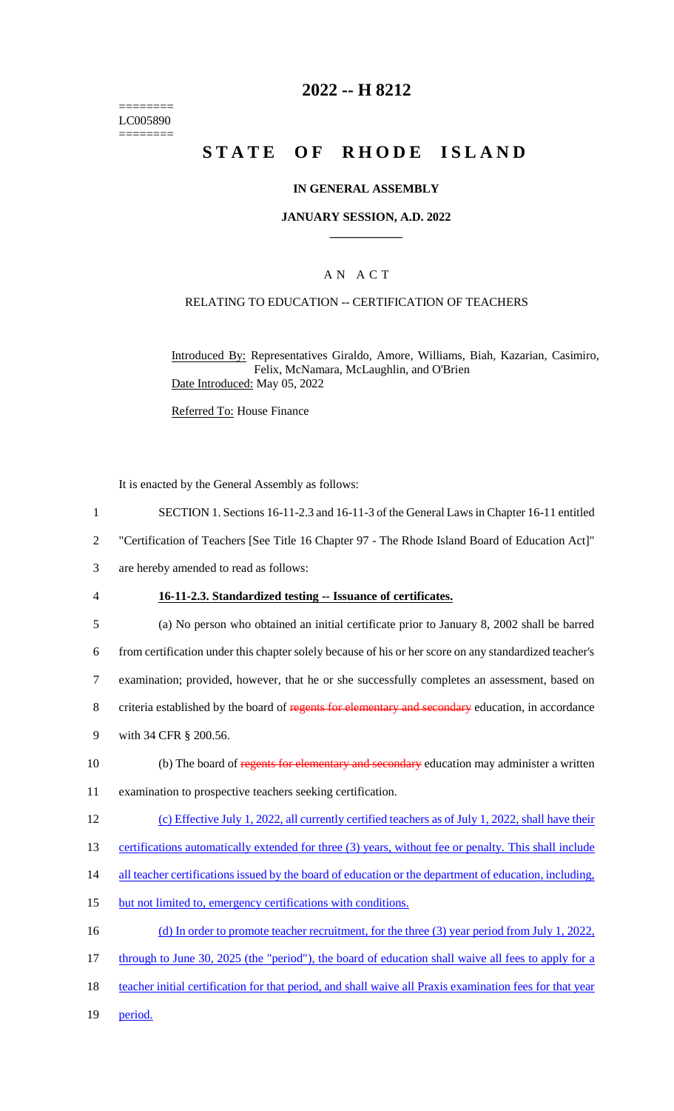======== LC005890 ========

# **2022 -- H 8212**

# **STATE OF RHODE ISLAND**

### **IN GENERAL ASSEMBLY**

### **JANUARY SESSION, A.D. 2022 \_\_\_\_\_\_\_\_\_\_\_\_**

### A N A C T

### RELATING TO EDUCATION -- CERTIFICATION OF TEACHERS

Introduced By: Representatives Giraldo, Amore, Williams, Biah, Kazarian, Casimiro, Felix, McNamara, McLaughlin, and O'Brien Date Introduced: May 05, 2022

Referred To: House Finance

It is enacted by the General Assembly as follows:

- 1 SECTION 1. Sections 16-11-2.3 and 16-11-3 of the General Laws in Chapter 16-11 entitled
- 2 "Certification of Teachers [See Title 16 Chapter 97 The Rhode Island Board of Education Act]"
- 3 are hereby amended to read as follows:
- 

#### 4 **16-11-2.3. Standardized testing -- Issuance of certificates.**

5 (a) No person who obtained an initial certificate prior to January 8, 2002 shall be barred 6 from certification under this chapter solely because of his or her score on any standardized teacher's

7 examination; provided, however, that he or she successfully completes an assessment, based on

- 8 criteria established by the board of regents for elementary and secondary education, in accordance
- 9 with 34 CFR § 200.56.
- 10 (b) The board of regents for elementary and secondary education may administer a written 11 examination to prospective teachers seeking certification.
- 12 (c) Effective July 1, 2022, all currently certified teachers as of July 1, 2022, shall have their

13 certifications automatically extended for three (3) years, without fee or penalty. This shall include

- 14 all teacher certifications issued by the board of education or the department of education, including,
- 15 but not limited to, emergency certifications with conditions.
- 16 (d) In order to promote teacher recruitment, for the three (3) year period from July 1, 2022,

17 through to June 30, 2025 (the "period"), the board of education shall waive all fees to apply for a

- 18 teacher initial certification for that period, and shall waive all Praxis examination fees for that year
- 19 period.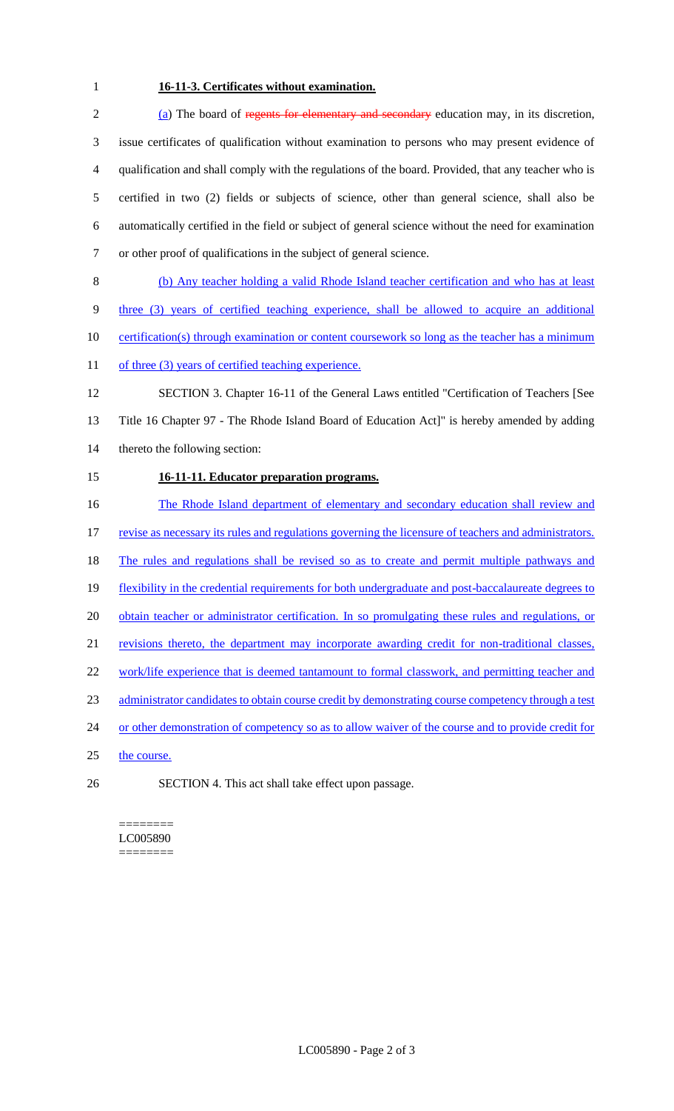# 1 **16-11-3. Certificates without examination.**

2 (a) The board of regents for elementary and secondary education may, in its discretion, issue certificates of qualification without examination to persons who may present evidence of qualification and shall comply with the regulations of the board. Provided, that any teacher who is certified in two (2) fields or subjects of science, other than general science, shall also be automatically certified in the field or subject of general science without the need for examination or other proof of qualifications in the subject of general science.

8 (b) Any teacher holding a valid Rhode Island teacher certification and who has at least 9 three (3) years of certified teaching experience, shall be allowed to acquire an additional 10 certification(s) through examination or content coursework so long as the teacher has a minimum

11 of three (3) years of certified teaching experience.

12 SECTION 3. Chapter 16-11 of the General Laws entitled "Certification of Teachers [See 13 Title 16 Chapter 97 - The Rhode Island Board of Education Act]" is hereby amended by adding 14 thereto the following section:

- 15 **16-11-11. Educator preparation programs.**
- 16 The Rhode Island department of elementary and secondary education shall review and 17 revise as necessary its rules and regulations governing the licensure of teachers and administrators. 18 The rules and regulations shall be revised so as to create and permit multiple pathways and 19 flexibility in the credential requirements for both undergraduate and post-baccalaureate degrees to 20 obtain teacher or administrator certification. In so promulgating these rules and regulations, or 21 revisions thereto, the department may incorporate awarding credit for non-traditional classes, 22 work/life experience that is deemed tantamount to formal classwork, and permitting teacher and 23 administrator candidates to obtain course credit by demonstrating course competency through a test 24 or other demonstration of competency so as to allow waiver of the course and to provide credit for 25 the course.
- 26 SECTION 4. This act shall take effect upon passage.

#### ======== LC005890 ========